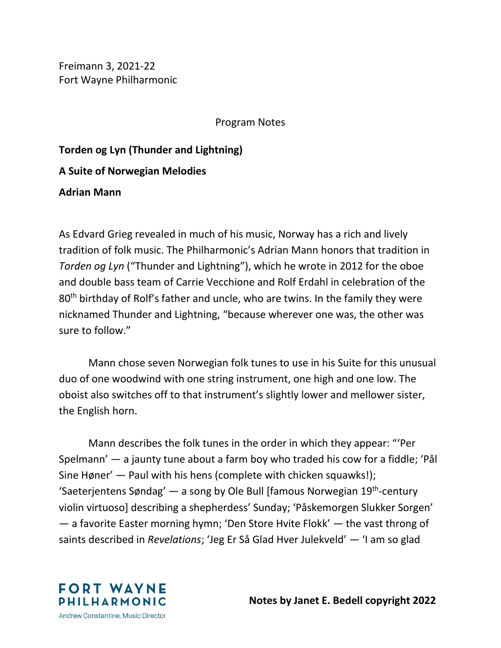Freimann 3, 2021-22 Fort Wayne Philharmonic

Program Notes

**Torden og Lyn (Thunder and Lightning) A Suite of Norwegian Melodies Adrian Mann**

As Edvard Grieg revealed in much of his music, Norway has a rich and lively tradition of folk music. The Philharmonic's Adrian Mann honors that tradition in *Torden og Lyn* ("Thunder and Lightning"), which he wrote in 2012 for the oboe and double bass team of Carrie Vecchione and Rolf Erdahl in celebration of the 80<sup>th</sup> birthday of Rolf's father and uncle, who are twins. In the family they were nicknamed Thunder and Lightning, "because wherever one was, the other was sure to follow."

Mann chose seven Norwegian folk tunes to use in his Suite for this unusual duo of one woodwind with one string instrument, one high and one low. The oboist also switches off to that instrument's slightly lower and mellower sister, the English horn.

Mann describes the folk tunes in the order in which they appear: "'Per Spelmann' — a jaunty tune about a farm boy who traded his cow for a fiddle; 'Pål Sine Høner' — Paul with his hens (complete with chicken squawks!); 'Saeterjentens Søndag' — a song by Ole Bull [famous Norwegian 19<sup>th</sup>-century violin virtuoso] describing a shepherdess' Sunday; 'Påskemorgen Slukker Sorgen' — a favorite Easter morning hymn; 'Den Store Hvite Flokk' — the vast throng of saints described in *Revelations*; 'Jeg Er Så Glad Hver Julekveld' — 'I am so glad



 **Notes by Janet E. Bedell copyright 2022**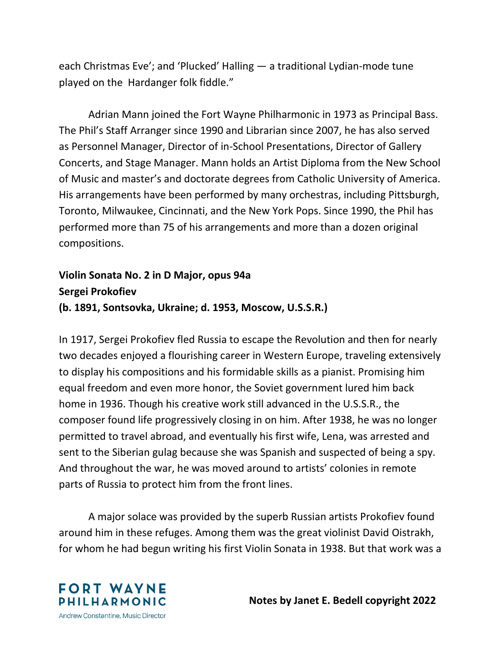each Christmas Eve'; and 'Plucked' Halling — a traditional Lydian-mode tune played on the Hardanger folk fiddle."

Adrian Mann joined the Fort Wayne Philharmonic in 1973 as Principal Bass. The Phil's Staff Arranger since 1990 and Librarian since 2007, he has also served as Personnel Manager, Director of in-School Presentations, Director of Gallery Concerts, and Stage Manager. Mann holds an Artist Diploma from the New School of Music and master's and doctorate degrees from Catholic University of America. His arrangements have been performed by many orchestras, including Pittsburgh, Toronto, Milwaukee, Cincinnati, and the New York Pops. Since 1990, the Phil has performed more than 75 of his arrangements and more than a dozen original compositions.

**Violin Sonata No. 2 in D Major, opus 94a Sergei Prokofiev (b. 1891, Sontsovka, Ukraine; d. 1953, Moscow, U.S.S.R.)**

In 1917, Sergei Prokofiev fled Russia to escape the Revolution and then for nearly two decades enjoyed a flourishing career in Western Europe, traveling extensively to display his compositions and his formidable skills as a pianist. Promising him equal freedom and even more honor, the Soviet government lured him back home in 1936. Though his creative work still advanced in the U.S.S.R., the composer found life progressively closing in on him. After 1938, he was no longer permitted to travel abroad, and eventually his first wife, Lena, was arrested and sent to the Siberian gulag because she was Spanish and suspected of being a spy. And throughout the war, he was moved around to artists' colonies in remote parts of Russia to protect him from the front lines.

A major solace was provided by the superb Russian artists Prokofiev found around him in these refuges. Among them was the great violinist David Oistrakh, for whom he had begun writing his first Violin Sonata in 1938. But that work was a



 **Notes by Janet E. Bedell copyright 2022**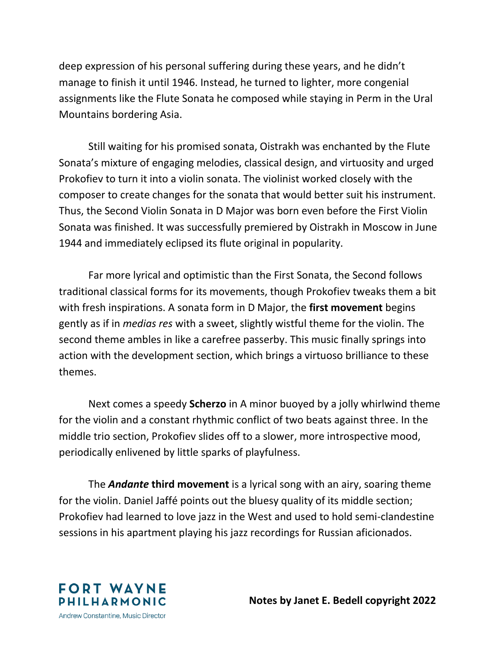deep expression of his personal suffering during these years, and he didn't manage to finish it until 1946. Instead, he turned to lighter, more congenial assignments like the Flute Sonata he composed while staying in Perm in the Ural Mountains bordering Asia.

Still waiting for his promised sonata, Oistrakh was enchanted by the Flute Sonata's mixture of engaging melodies, classical design, and virtuosity and urged Prokofiev to turn it into a violin sonata. The violinist worked closely with the composer to create changes for the sonata that would better suit his instrument. Thus, the Second Violin Sonata in D Major was born even before the First Violin Sonata was finished. It was successfully premiered by Oistrakh in Moscow in June 1944 and immediately eclipsed its flute original in popularity.

Far more lyrical and optimistic than the First Sonata, the Second follows traditional classical forms for its movements, though Prokofiev tweaks them a bit with fresh inspirations. A sonata form in D Major, the **first movement** begins gently as if in *medias res* with a sweet, slightly wistful theme for the violin. The second theme ambles in like a carefree passerby. This music finally springs into action with the development section, which brings a virtuoso brilliance to these themes.

Next comes a speedy **Scherzo** in A minor buoyed by a jolly whirlwind theme for the violin and a constant rhythmic conflict of two beats against three. In the middle trio section, Prokofiev slides off to a slower, more introspective mood, periodically enlivened by little sparks of playfulness.

The *Andante* **third movement** is a lyrical song with an airy, soaring theme for the violin. Daniel Jaffé points out the bluesy quality of its middle section; Prokofiev had learned to love jazz in the West and used to hold semi-clandestine sessions in his apartment playing his jazz recordings for Russian aficionados.

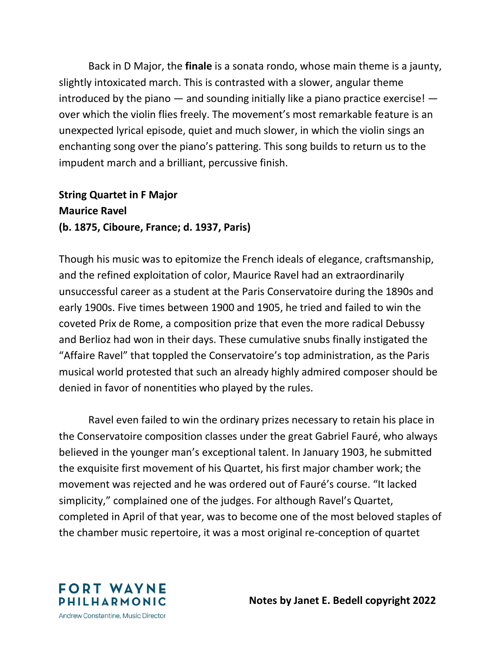Back in D Major, the **finale** is a sonata rondo, whose main theme is a jaunty, slightly intoxicated march. This is contrasted with a slower, angular theme introduced by the piano  $-$  and sounding initially like a piano practice exercise!  $$ over which the violin flies freely. The movement's most remarkable feature is an unexpected lyrical episode, quiet and much slower, in which the violin sings an enchanting song over the piano's pattering. This song builds to return us to the impudent march and a brilliant, percussive finish.

## **String Quartet in F Major Maurice Ravel (b. 1875, Ciboure, France; d. 1937, Paris)**

Though his music was to epitomize the French ideals of elegance, craftsmanship, and the refined exploitation of color, Maurice Ravel had an extraordinarily unsuccessful career as a student at the Paris Conservatoire during the 1890s and early 1900s. Five times between 1900 and 1905, he tried and failed to win the coveted Prix de Rome, a composition prize that even the more radical Debussy and Berlioz had won in their days. These cumulative snubs finally instigated the "Affaire Ravel" that toppled the Conservatoire's top administration, as the Paris musical world protested that such an already highly admired composer should be denied in favor of nonentities who played by the rules.

Ravel even failed to win the ordinary prizes necessary to retain his place in the Conservatoire composition classes under the great Gabriel Fauré, who always believed in the younger man's exceptional talent. In January 1903, he submitted the exquisite first movement of his Quartet, his first major chamber work; the movement was rejected and he was ordered out of Fauré's course. "It lacked simplicity," complained one of the judges. For although Ravel's Quartet, completed in April of that year, was to become one of the most beloved staples of the chamber music repertoire, it was a most original re-conception of quartet